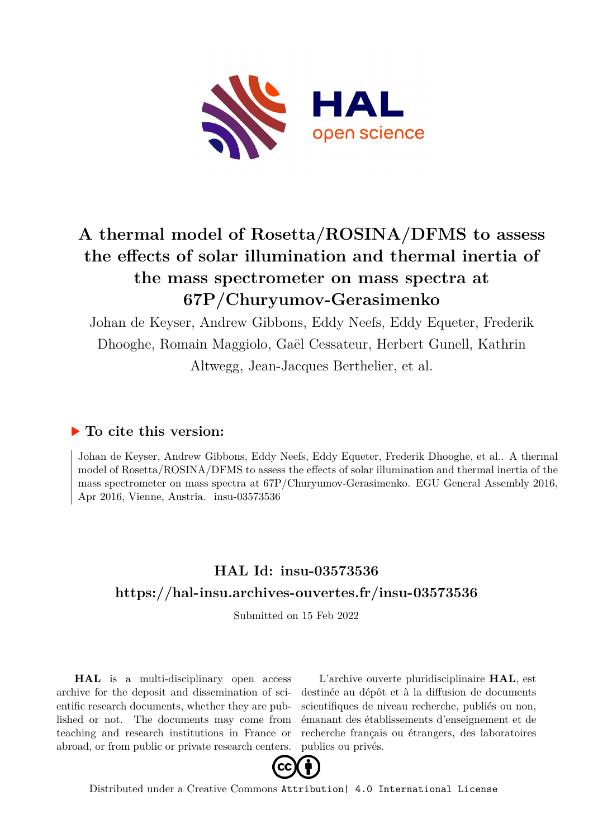

## **A thermal model of Rosetta/ROSINA/DFMS to assess the effects of solar illumination and thermal inertia of the mass spectrometer on mass spectra at 67P/Churyumov-Gerasimenko**

Johan de Keyser, Andrew Gibbons, Eddy Neefs, Eddy Equeter, Frederik Dhooghe, Romain Maggiolo, Gaël Cessateur, Herbert Gunell, Kathrin Altwegg, Jean-Jacques Berthelier, et al.

## **To cite this version:**

Johan de Keyser, Andrew Gibbons, Eddy Neefs, Eddy Equeter, Frederik Dhooghe, et al.. A thermal model of Rosetta/ROSINA/DFMS to assess the effects of solar illumination and thermal inertia of the mass spectrometer on mass spectra at 67P/Churyumov-Gerasimenko. EGU General Assembly 2016, Apr 2016, Vienne, Austria. insu-03573536

## **HAL Id: insu-03573536 <https://hal-insu.archives-ouvertes.fr/insu-03573536>**

Submitted on 15 Feb 2022

**HAL** is a multi-disciplinary open access archive for the deposit and dissemination of scientific research documents, whether they are published or not. The documents may come from teaching and research institutions in France or abroad, or from public or private research centers.

L'archive ouverte pluridisciplinaire **HAL**, est destinée au dépôt et à la diffusion de documents scientifiques de niveau recherche, publiés ou non, émanant des établissements d'enseignement et de recherche français ou étrangers, des laboratoires publics ou privés.



Distributed under a Creative Commons [Attribution| 4.0 International License](http://creativecommons.org/licenses/by/4.0/)